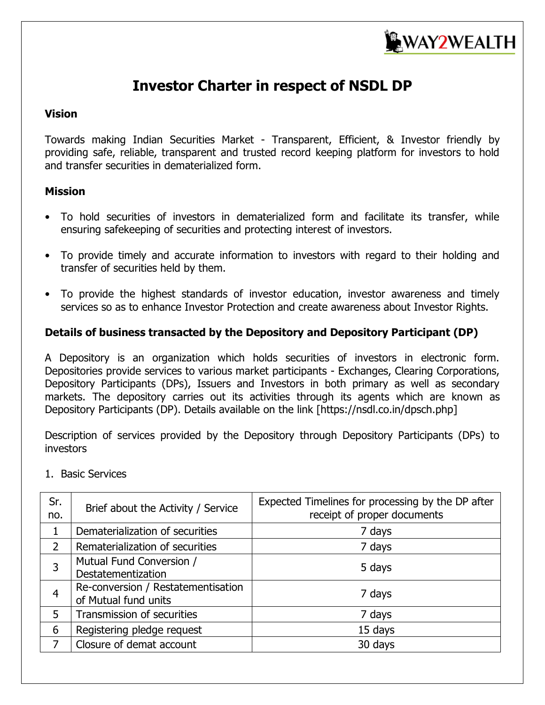

# **Investor Charter in respect of NSDL DP**

#### **Vision**

Towards making Indian Securities Market - Transparent, Efficient, & Investor friendly by providing safe, reliable, transparent and trusted record keeping platform for investors to hold and transfer securities in dematerialized form.

### **Mission**

- To hold securities of investors in dematerialized form and facilitate its transfer, while ensuring safekeeping of securities and protecting interest of investors.
- To provide timely and accurate information to investors with regard to their holding and transfer of securities held by them.
- To provide the highest standards of investor education, investor awareness and timely services so as to enhance Investor Protection and create awareness about Investor Rights.

### **Details of business transacted by the Depository and Depository Participant (DP)**

A Depository is an organization which holds securities of investors in electronic form. Depositories provide services to various market participants - Exchanges, Clearing Corporations, Depository Participants (DPs), Issuers and Investors in both primary as well as secondary markets. The depository carries out its activities through its agents which are known as Depository Participants (DP). Details available on the link [https://nsdl.co.in/dpsch.php]

Description of services provided by the Depository through Depository Participants (DPs) to investors

| Sr.<br>no.     | Brief about the Activity / Service                         | Expected Timelines for processing by the DP after<br>receipt of proper documents |  |  |
|----------------|------------------------------------------------------------|----------------------------------------------------------------------------------|--|--|
|                | Dematerialization of securities                            | 7 days                                                                           |  |  |
| $\overline{2}$ | Rematerialization of securities                            | 7 days                                                                           |  |  |
| 3              | Mutual Fund Conversion /<br>Destatementization             | 5 days                                                                           |  |  |
| 4              | Re-conversion / Restatementisation<br>of Mutual fund units | 7 days                                                                           |  |  |
| 5              | Transmission of securities                                 | 7 days                                                                           |  |  |
| 6              | Registering pledge request                                 | 15 days                                                                          |  |  |
|                | Closure of demat account                                   | 30 days                                                                          |  |  |

1. Basic Services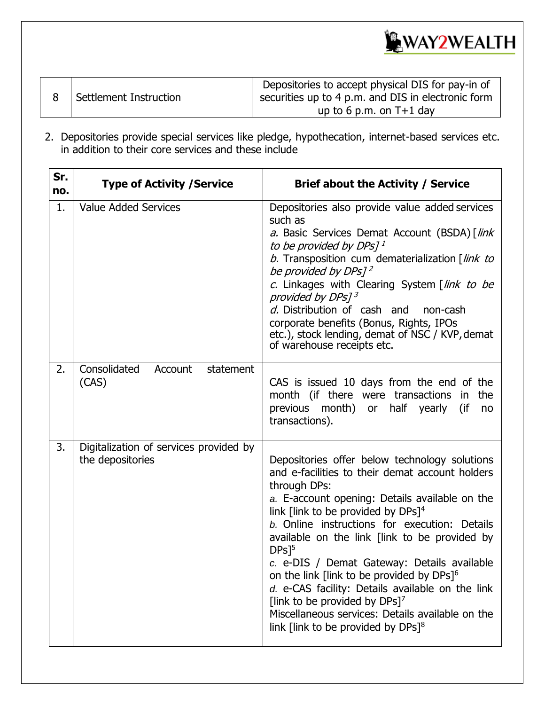

|                        | Depositories to accept physical DIS for pay-in of  |
|------------------------|----------------------------------------------------|
| Settlement Instruction | securities up to 4 p.m. and DIS in electronic form |
|                        | up to 6 p.m. on $T+1$ day                          |

2. Depositories provide special services like pledge, hypothecation, internet-based services etc. in addition to their core services and these include

| Sr.<br>no. | <b>Type of Activity / Service</b>                          | <b>Brief about the Activity / Service</b>                                                                                                                                                                                                                                                                                                                                                                                                                                                                                                                                                                                                                     |  |  |
|------------|------------------------------------------------------------|---------------------------------------------------------------------------------------------------------------------------------------------------------------------------------------------------------------------------------------------------------------------------------------------------------------------------------------------------------------------------------------------------------------------------------------------------------------------------------------------------------------------------------------------------------------------------------------------------------------------------------------------------------------|--|--|
| 1.         | <b>Value Added Services</b>                                | Depositories also provide value added services<br>such as<br>a. Basic Services Demat Account (BSDA) [link<br>to be provided by DPs] <sup>1</sup><br>b. Transposition cum dematerialization [link to<br>be provided by DPs] <sup>2</sup><br>c. Linkages with Clearing System [link to be<br>provided by DPs] <sup>3</sup><br>d. Distribution of cash and<br>non-cash<br>corporate benefits (Bonus, Rights, IPOs<br>etc.), stock lending, demat of NSC / KVP, demat<br>of warehouse receipts etc.                                                                                                                                                               |  |  |
| 2.         | Consolidated<br>Account<br>statement<br>(CAS)              | CAS is issued 10 days from the end of the<br>month (if there were transactions<br>the<br>in.<br>previous month) or half yearly<br>(if<br>no<br>transactions).                                                                                                                                                                                                                                                                                                                                                                                                                                                                                                 |  |  |
| 3.         | Digitalization of services provided by<br>the depositories | Depositories offer below technology solutions<br>and e-facilities to their demat account holders<br>through DPs:<br>a. E-account opening: Details available on the<br>link [link to be provided by DPs] <sup>4</sup><br>b. Online instructions for execution: Details<br>available on the link [link to be provided by<br>$DPs$ <sup>5</sup><br>c. e-DIS / Demat Gateway: Details available<br>on the link [link to be provided by DPs] <sup>6</sup><br>d. e-CAS facility: Details available on the link<br>[link to be provided by DPs] <sup>7</sup><br>Miscellaneous services: Details available on the<br>link [link to be provided by $DPs]$ <sup>8</sup> |  |  |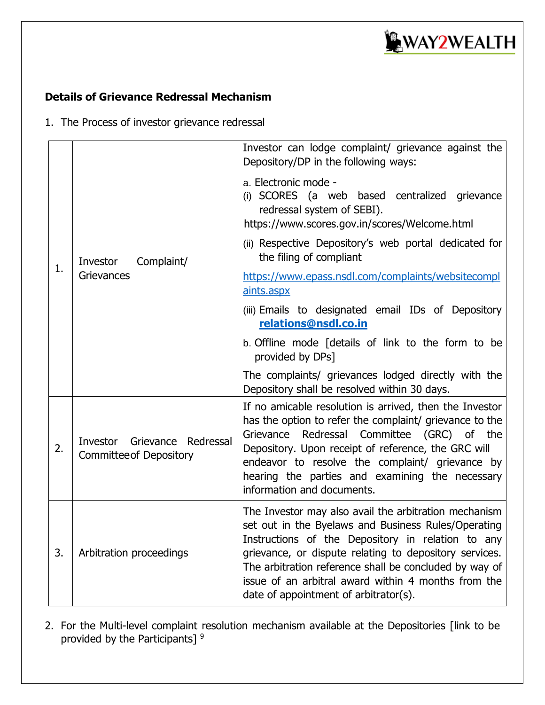

### **Details of Grievance Redressal Mechanism**

1. The Process of investor grievance redressal

|    |                                                                | Investor can lodge complaint/ grievance against the<br>Depository/DP in the following ways:                                                                                                                                                                                                                                                                                           |  |  |
|----|----------------------------------------------------------------|---------------------------------------------------------------------------------------------------------------------------------------------------------------------------------------------------------------------------------------------------------------------------------------------------------------------------------------------------------------------------------------|--|--|
|    | Investor<br>Complaint/<br>Grievances                           | a. Electronic mode -<br>(i) SCORES (a web based centralized grievance<br>redressal system of SEBI).<br>https://www.scores.gov.in/scores/Welcome.html                                                                                                                                                                                                                                  |  |  |
|    |                                                                | (ii) Respective Depository's web portal dedicated for<br>the filing of compliant                                                                                                                                                                                                                                                                                                      |  |  |
| 1. |                                                                | https://www.epass.nsdl.com/complaints/websitecompl<br>aints.aspx                                                                                                                                                                                                                                                                                                                      |  |  |
|    |                                                                | (iii) Emails to designated email IDs of Depository<br>relations@nsdl.co.in                                                                                                                                                                                                                                                                                                            |  |  |
|    |                                                                | b. Offline mode [details of link to the form to be<br>provided by DPs]                                                                                                                                                                                                                                                                                                                |  |  |
|    |                                                                | The complaints/ grievances lodged directly with the<br>Depository shall be resolved within 30 days.                                                                                                                                                                                                                                                                                   |  |  |
| 2. | Investor Grievance Redressal<br><b>Committee of Depository</b> | If no amicable resolution is arrived, then the Investor<br>has the option to refer the complaint/ grievance to the<br>Redressal Committee (GRC) of the<br>Grievance<br>Depository. Upon receipt of reference, the GRC will<br>endeavor to resolve the complaint/ grievance by<br>hearing the parties and examining the necessary<br>information and documents.                        |  |  |
| 3. | Arbitration proceedings                                        | The Investor may also avail the arbitration mechanism<br>set out in the Byelaws and Business Rules/Operating<br>Instructions of the Depository in relation to any<br>grievance, or dispute relating to depository services.<br>The arbitration reference shall be concluded by way of<br>issue of an arbitral award within 4 months from the<br>date of appointment of arbitrator(s). |  |  |

2. For the Multi-level complaint resolution mechanism available at the Depositories [link to be provided by the Participants] <sup>9</sup>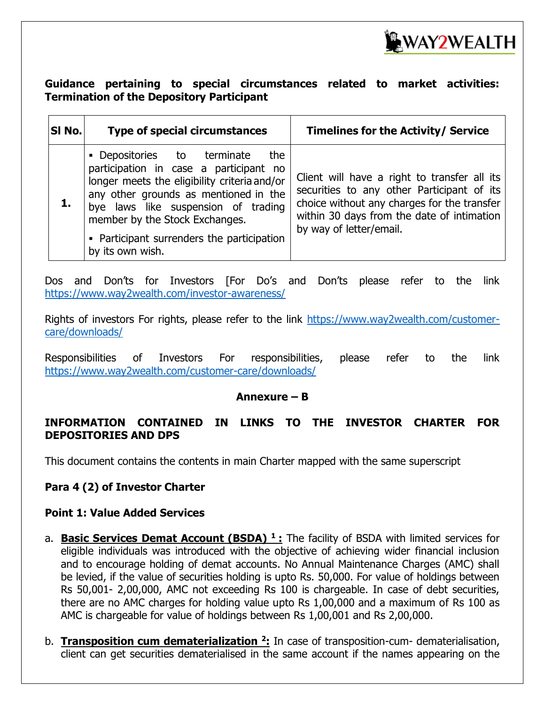

### **Guidance pertaining to special circumstances related to market activities: Termination of the Depository Participant**

| SI No. | <b>Type of special circumstances</b>                                                                                                                                                                                                                                                                             | <b>Timelines for the Activity/ Service</b>                                                                                                                                                                         |
|--------|------------------------------------------------------------------------------------------------------------------------------------------------------------------------------------------------------------------------------------------------------------------------------------------------------------------|--------------------------------------------------------------------------------------------------------------------------------------------------------------------------------------------------------------------|
|        | • Depositories to terminate<br>the<br>participation in case a participant no<br>longer meets the eligibility criteria and/or<br>any other grounds as mentioned in the<br>bye laws like suspension of trading<br>member by the Stock Exchanges.<br>• Participant surrenders the participation<br>by its own wish. | Client will have a right to transfer all its<br>securities to any other Participant of its<br>choice without any charges for the transfer<br>within 30 days from the date of intimation<br>by way of letter/email. |

Dos and Don'ts for Investors [For Do's and Don'ts please refer to the link <https://www.way2wealth.com/investor-awareness/>

Rights of investors For rights, please refer to the link [https://www.way2wealth.com/customer](https://www.way2wealth.com/customer-care/downloads/)[care/downloads/](https://www.way2wealth.com/customer-care/downloads/)

Responsibilities of Investors For responsibilities, please refer to the link <https://www.way2wealth.com/customer-care/downloads/>

### **Annexure – B**

### **INFORMATION CONTAINED IN LINKS TO THE INVESTOR CHARTER FOR DEPOSITORIES AND DPS**

This document contains the contents in main Charter mapped with the same superscript

### **Para 4 (2) of Investor Charter**

### **Point 1: Value Added Services**

- a. **Basic Services Demat Account (BSDA) <sup>1</sup> :** The facility of BSDA with limited services for eligible individuals was introduced with the objective of achieving wider financial inclusion and to encourage holding of demat accounts. No Annual Maintenance Charges (AMC) shall be levied, if the value of securities holding is upto Rs. 50,000. For value of holdings between Rs 50,001- 2,00,000, AMC not exceeding Rs 100 is chargeable. In case of debt securities, there are no AMC charges for holding value upto Rs 1,00,000 and a maximum of Rs 100 as AMC is chargeable for value of holdings between Rs 1,00,001 and Rs 2,00,000.
- b. **Transposition cum dematerialization <sup>2</sup> :** In case of transposition-cum- dematerialisation, client can get securities dematerialised in the same account if the names appearing on the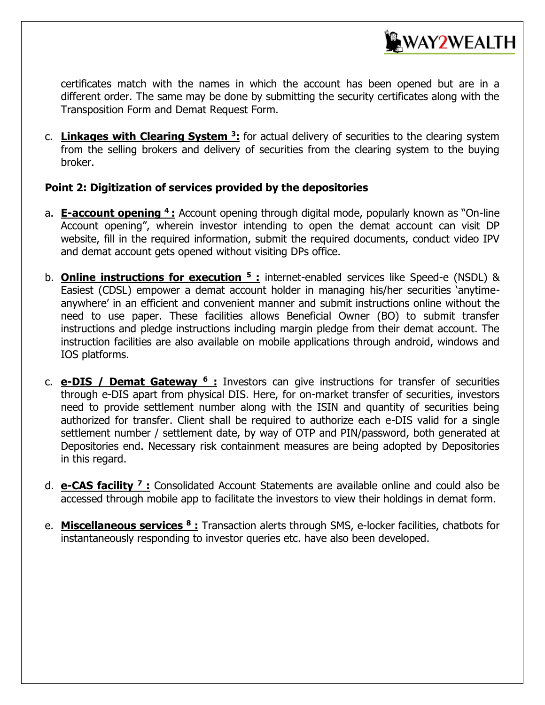

certificates match with the names in which the account has been opened but are in a different order. The same may be done by submitting the security certificates along with the Transposition Form and Demat Request Form.

c. **Linkages with Clearing System <sup>3</sup> :** for actual delivery of securities to the clearing system from the selling brokers and delivery of securities from the clearing system to the buying broker.

### **Point 2: Digitization of services provided by the depositories**

- a. **E-account opening <sup>4</sup>:** Account opening through digital mode, popularly known as "On-line Account opening", wherein investor intending to open the demat account can visit DP website, fill in the required information, submit the required documents, conduct video IPV and demat account gets opened without visiting DPs office.
- b. **Online instructions for execution <sup>5</sup> :** internet-enabled services like Speed-e (NSDL) & Easiest (CDSL) empower a demat account holder in managing his/her securities 'anytimeanywhere' in an efficient and convenient manner and submit instructions online without the need to use paper. These facilities allows Beneficial Owner (BO) to submit transfer instructions and pledge instructions including margin pledge from their demat account. The instruction facilities are also available on mobile applications through android, windows and IOS platforms.
- c. **e-DIS / Demat Gateway <sup>6</sup> :** Investors can give instructions for transfer of securities through e-DIS apart from physical DIS. Here, for on-market transfer of securities, investors need to provide settlement number along with the ISIN and quantity of securities being authorized for transfer. Client shall be required to authorize each e-DIS valid for a single settlement number / settlement date, by way of OTP and PIN/password, both generated at Depositories end. Necessary risk containment measures are being adopted by Depositories in this regard.
- d. **e-CAS facility <sup>7</sup> :** Consolidated Account Statements are available online and could also be accessed through mobile app to facilitate the investors to view their holdings in demat form.
- e. **Miscellaneous services <sup>8</sup> :** Transaction alerts through SMS, e-locker facilities, chatbots for instantaneously responding to investor queries etc. have also been developed.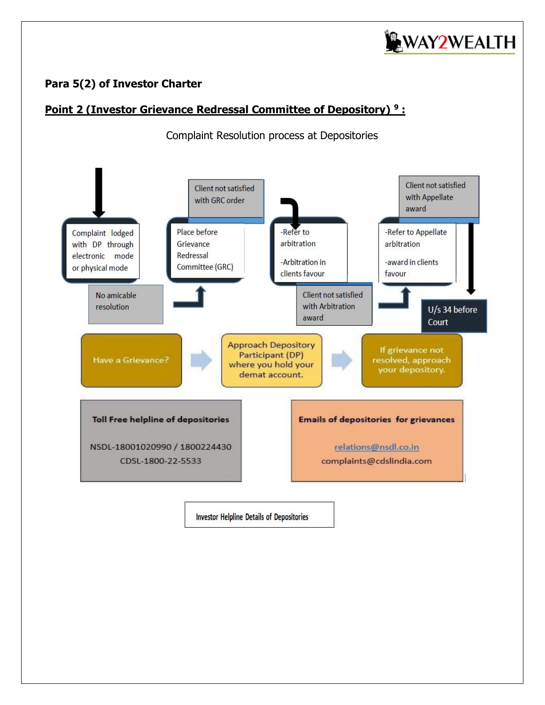

### **Para 5(2) of Investor Charter**

### **Point 2 (Investor Grievance Redressal Committee of Depository) <sup>9</sup> :**

Complaint Resolution process at Depositories



**Investor Helpline Details of Depositories**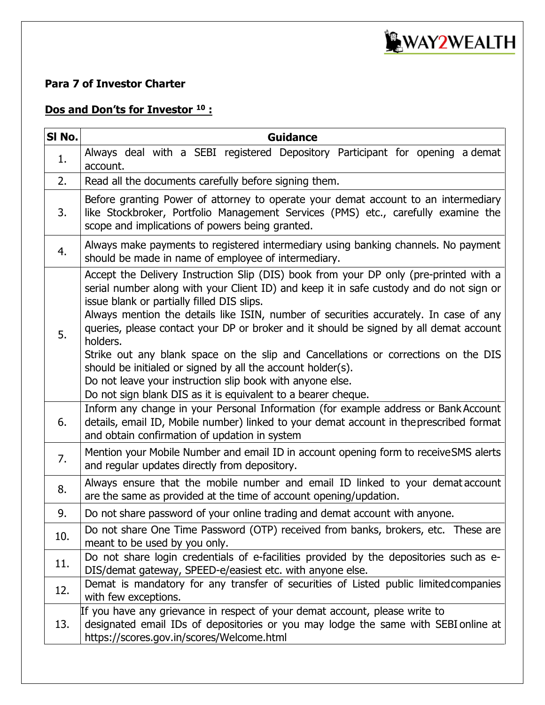

### **Para 7 of Investor Charter**

### **Dos and Don'ts for Investor <sup>10</sup> :**

| SI No. | <b>Guidance</b>                                                                                                                                                                                                                                                                                                                                                                                                                                                                                                                                                                                                                                                                                                  |  |  |  |  |  |  |
|--------|------------------------------------------------------------------------------------------------------------------------------------------------------------------------------------------------------------------------------------------------------------------------------------------------------------------------------------------------------------------------------------------------------------------------------------------------------------------------------------------------------------------------------------------------------------------------------------------------------------------------------------------------------------------------------------------------------------------|--|--|--|--|--|--|
| 1.     | Always deal with a SEBI registered Depository Participant for opening a demat<br>account.                                                                                                                                                                                                                                                                                                                                                                                                                                                                                                                                                                                                                        |  |  |  |  |  |  |
| 2.     | Read all the documents carefully before signing them.                                                                                                                                                                                                                                                                                                                                                                                                                                                                                                                                                                                                                                                            |  |  |  |  |  |  |
| 3.     | Before granting Power of attorney to operate your demat account to an intermediary<br>like Stockbroker, Portfolio Management Services (PMS) etc., carefully examine the<br>scope and implications of powers being granted.                                                                                                                                                                                                                                                                                                                                                                                                                                                                                       |  |  |  |  |  |  |
| 4.     | Always make payments to registered intermediary using banking channels. No payment<br>should be made in name of employee of intermediary.                                                                                                                                                                                                                                                                                                                                                                                                                                                                                                                                                                        |  |  |  |  |  |  |
| 5.     | Accept the Delivery Instruction Slip (DIS) book from your DP only (pre-printed with a<br>serial number along with your Client ID) and keep it in safe custody and do not sign or<br>issue blank or partially filled DIS slips.<br>Always mention the details like ISIN, number of securities accurately. In case of any<br>queries, please contact your DP or broker and it should be signed by all demat account<br>holders.<br>Strike out any blank space on the slip and Cancellations or corrections on the DIS<br>should be initialed or signed by all the account holder(s).<br>Do not leave your instruction slip book with anyone else.<br>Do not sign blank DIS as it is equivalent to a bearer cheque. |  |  |  |  |  |  |
| 6.     | Inform any change in your Personal Information (for example address or Bank Account<br>details, email ID, Mobile number) linked to your demat account in the prescribed format<br>and obtain confirmation of updation in system                                                                                                                                                                                                                                                                                                                                                                                                                                                                                  |  |  |  |  |  |  |
| 7.     | Mention your Mobile Number and email ID in account opening form to receive SMS alerts<br>and regular updates directly from depository.                                                                                                                                                                                                                                                                                                                                                                                                                                                                                                                                                                           |  |  |  |  |  |  |
| 8.     | Always ensure that the mobile number and email ID linked to your demataccount<br>are the same as provided at the time of account opening/updation.                                                                                                                                                                                                                                                                                                                                                                                                                                                                                                                                                               |  |  |  |  |  |  |
| 9.     | Do not share password of your online trading and demat account with anyone.                                                                                                                                                                                                                                                                                                                                                                                                                                                                                                                                                                                                                                      |  |  |  |  |  |  |
| 10.    | Do not share One Time Password (OTP) received from banks, brokers, etc. These are<br>meant to be used by you only.                                                                                                                                                                                                                                                                                                                                                                                                                                                                                                                                                                                               |  |  |  |  |  |  |
| 11.    | Do not share login credentials of e-facilities provided by the depositories such as e-<br>DIS/demat gateway, SPEED-e/easiest etc. with anyone else.                                                                                                                                                                                                                                                                                                                                                                                                                                                                                                                                                              |  |  |  |  |  |  |
| 12.    | Demat is mandatory for any transfer of securities of Listed public limited companies<br>with few exceptions.                                                                                                                                                                                                                                                                                                                                                                                                                                                                                                                                                                                                     |  |  |  |  |  |  |
| 13.    | If you have any grievance in respect of your demat account, please write to<br>designated email IDs of depositories or you may lodge the same with SEBI online at<br>https://scores.gov.in/scores/Welcome.html                                                                                                                                                                                                                                                                                                                                                                                                                                                                                                   |  |  |  |  |  |  |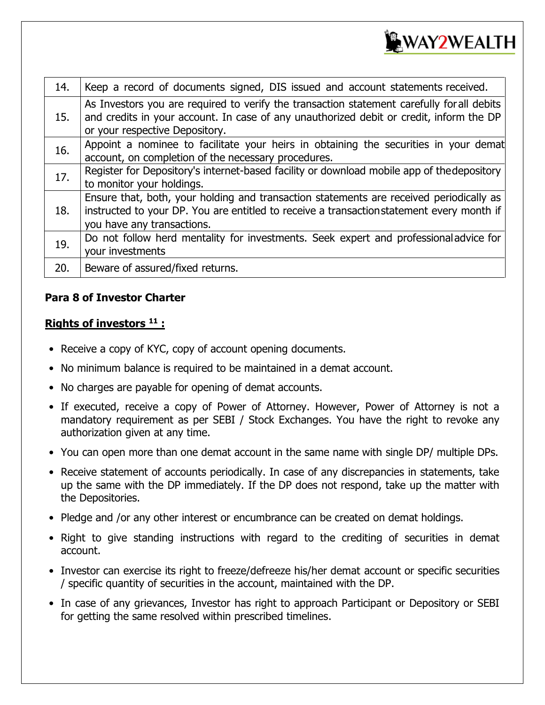

| 14. | Keep a record of documents signed, DIS issued and account statements received.                                                                                                                                          |
|-----|-------------------------------------------------------------------------------------------------------------------------------------------------------------------------------------------------------------------------|
| 15. | As Investors you are required to verify the transaction statement carefully for all debits<br>and credits in your account. In case of any unauthorized debit or credit, inform the DP<br>or your respective Depository. |
| 16. | Appoint a nominee to facilitate your heirs in obtaining the securities in your demat<br>account, on completion of the necessary procedures.                                                                             |
| 17. | Register for Depository's internet-based facility or download mobile app of the depository<br>to monitor your holdings.                                                                                                 |
| 18. | Ensure that, both, your holding and transaction statements are received periodically as<br>instructed to your DP. You are entitled to receive a transactionstatement every month if<br>you have any transactions.       |
| 19. | Do not follow herd mentality for investments. Seek expert and professional advice for<br>your investments                                                                                                               |
| 20. | Beware of assured/fixed returns.                                                                                                                                                                                        |

### **Para 8 of Investor Charter**

### **Rights of investors <sup>11</sup> :**

- Receive a copy of KYC, copy of account opening documents.
- No minimum balance is required to be maintained in a demat account.
- No charges are payable for opening of demat accounts.
- If executed, receive a copy of Power of Attorney. However, Power of Attorney is not a mandatory requirement as per SEBI / Stock Exchanges. You have the right to revoke any authorization given at any time.
- You can open more than one demat account in the same name with single DP/ multiple DPs.
- Receive statement of accounts periodically. In case of any discrepancies in statements, take up the same with the DP immediately. If the DP does not respond, take up the matter with the Depositories.
- Pledge and /or any other interest or encumbrance can be created on demat holdings.
- Right to give standing instructions with regard to the crediting of securities in demat account.
- Investor can exercise its right to freeze/defreeze his/her demat account or specific securities / specific quantity of securities in the account, maintained with the DP.
- In case of any grievances, Investor has right to approach Participant or Depository or SEBI for getting the same resolved within prescribed timelines.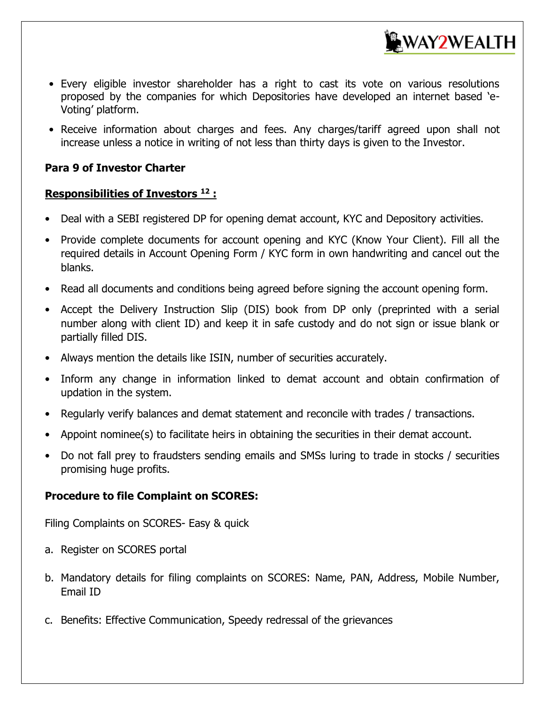

- Every eligible investor shareholder has a right to cast its vote on various resolutions proposed by the companies for which Depositories have developed an internet based 'e-Voting' platform.
- Receive information about charges and fees. Any charges/tariff agreed upon shall not increase unless a notice in writing of not less than thirty days is given to the Investor.

### **Para 9 of Investor Charter**

### **Responsibilities of Investors <sup>12</sup> :**

- Deal with a SEBI registered DP for opening demat account, KYC and Depository activities.
- Provide complete documents for account opening and KYC (Know Your Client). Fill all the required details in Account Opening Form / KYC form in own handwriting and cancel out the blanks.
- Read all documents and conditions being agreed before signing the account opening form.
- Accept the Delivery Instruction Slip (DIS) book from DP only (preprinted with a serial number along with client ID) and keep it in safe custody and do not sign or issue blank or partially filled DIS.
- Always mention the details like ISIN, number of securities accurately.
- Inform any change in information linked to demat account and obtain confirmation of updation in the system.
- Regularly verify balances and demat statement and reconcile with trades / transactions.
- Appoint nominee(s) to facilitate heirs in obtaining the securities in their demat account.
- Do not fall prey to fraudsters sending emails and SMSs luring to trade in stocks / securities promising huge profits.

### **Procedure to file Complaint on SCORES:**

Filing Complaints on SCORES- Easy & quick

- a. Register on SCORES portal
- b. Mandatory details for filing complaints on SCORES: Name, PAN, Address, Mobile Number, Email ID
- c. Benefits: Effective Communication, Speedy redressal of the grievances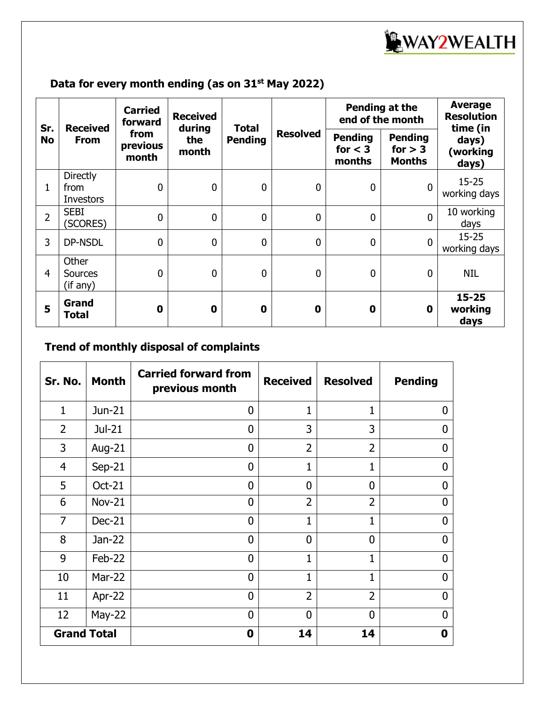

## **Data for every month ending (as on 31st May 2022)**

| Sr.<br><b>No</b> | <b>Received</b><br><b>From</b>              | <b>Carried</b><br>forward<br>from<br>previous<br>month | <b>Received</b><br>during<br>the<br>month | <b>Total</b><br><b>Pending</b> | <b>Resolved</b> | Pending at the<br>end of the month    |                                              | <b>Average</b><br><b>Resolution</b><br>time (in |
|------------------|---------------------------------------------|--------------------------------------------------------|-------------------------------------------|--------------------------------|-----------------|---------------------------------------|----------------------------------------------|-------------------------------------------------|
|                  |                                             |                                                        |                                           |                                |                 | <b>Pending</b><br>for $<$ 3<br>months | <b>Pending</b><br>for $> 3$<br><b>Months</b> | days)<br>(working<br>days)                      |
| $\mathbf{1}$     | <b>Directly</b><br>from<br><b>Investors</b> | $\boldsymbol{0}$                                       | $\mathbf 0$                               | $\mathbf 0$                    | 0               | $\boldsymbol{0}$                      | $\mathbf 0$                                  | $15 - 25$<br>working days                       |
| $\overline{2}$   | <b>SEBI</b><br>(SCORES)                     | $\mathbf 0$                                            | $\mathbf 0$                               | $\mathbf 0$                    | 0               | $\mathbf 0$                           | $\mathbf{0}$                                 | 10 working<br>days                              |
| 3                | DP-NSDL                                     | $\mathbf 0$                                            | $\mathbf 0$                               | $\mathbf 0$                    | 0               | $\mathbf 0$                           | $\mathbf{0}$                                 | $15 - 25$<br>working days                       |
| $\overline{4}$   | Other<br><b>Sources</b><br>(if any)         | 0                                                      | $\mathbf 0$                               | $\mathbf 0$                    | 0               | $\mathbf 0$                           | $\mathbf{0}$                                 | NIL                                             |
| 5                | Grand<br>Total                              | $\mathbf 0$                                            | $\mathbf 0$                               | $\mathbf 0$                    | $\mathbf 0$     | $\mathbf 0$                           | $\mathbf 0$                                  | $15 - 25$<br>working<br>days                    |

## **Trend of monthly disposal of complaints**

| Sr. No.            | <b>Month</b>  | <b>Carried forward from</b><br>previous month | <b>Received</b> | <b>Resolved</b> | <b>Pending</b> |
|--------------------|---------------|-----------------------------------------------|-----------------|-----------------|----------------|
| $\mathbf{1}$       | Jun-21        | $\overline{0}$                                | $\mathbf{1}$    | 1               | <sup>0</sup>   |
| $\overline{2}$     | Jul-21        | $\mathbf 0$                                   | 3               | 3               | 0              |
| 3                  | Aug-21        | $\overline{0}$                                | $\overline{2}$  | $\overline{2}$  | O              |
| $\overline{4}$     | $Sep-21$      | 0                                             |                 | 1               | 0              |
| 5                  | <b>Oct-21</b> | $\overline{0}$                                | $\Omega$        | $\mathbf 0$     | O              |
| 6                  | <b>Nov-21</b> | $\overline{0}$                                | $\overline{2}$  | $\overline{2}$  | $\Omega$       |
| $\overline{7}$     | $Dec-21$      | $\overline{0}$                                | $\mathbf{1}$    | 1               | $\mathbf{0}$   |
| 8                  | Jan-22        | $\overline{0}$                                | $\overline{0}$  | $\overline{0}$  | $\Omega$       |
| 9                  | Feb-22        | $\overline{0}$                                | 1               | 1               | $\mathbf{0}$   |
| 10                 | <b>Mar-22</b> | $\overline{0}$                                | $\mathbf{1}$    | 1               | 0              |
| 11                 | Apr-22        | $\overline{0}$                                | $\overline{2}$  | $\overline{2}$  | 0              |
| 12                 | $May-22$      | $\mathbf 0$                                   | $\Omega$        | $\overline{0}$  | U              |
| <b>Grand Total</b> |               | 0                                             | 14              | 14              | 0              |